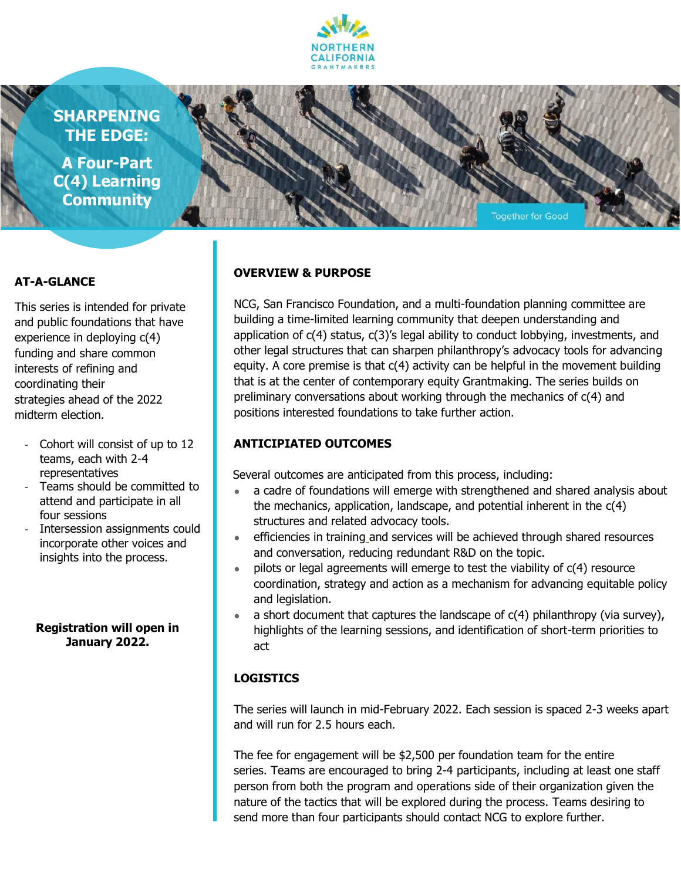

**SHARPENING THE EDGE:**

**A Four-Part C(4) Learning Community**



#### **AT-A-GLANCE**

This series is intended for private and public foundations that have experience in deploying c(4) funding and share common interests of refining and coordinating their strategies ahead of the 2022 midterm election.

- Cohort will consist of up to 12 teams, each with 2-4 representatives
- Teams should be committed to attend and participate in all four sessions
- Intersession assignments could incorporate other voices and insights into the process.

#### **Registration will open in January 2022.**

#### **OVERVIEW & PURPOSE**

NCG, San Francisco Foundation, and a multi-foundation planning committee are building a time-limited learning community that deepen understanding and application of  $c(4)$  status,  $c(3)'s$  legal ability to conduct lobbying, investments, and other legal structures that can sharpen philanthropy's advocacy tools for advancing equity. A core premise is that c(4) activity can be helpful in the movement building that is at the center of contemporary equity Grantmaking. The series builds on preliminary conversations about working through the mechanics of c(4) and positions interested foundations to take further action.

### **ANTICIPIATED OUTCOMES**

Several outcomes are anticipated from this process, including:

- a cadre of foundations will emerge with strengthened and shared analysis about the mechanics, application, landscape, and potential inherent in the c(4) structures and related advocacy tools.
- efficiencies in training and services will be achieved through shared resources and conversation, reducing redundant R&D on the topic.
- pilots or legal agreements will emerge to test the viability of  $c(4)$  resource coordination, strategy and action as a mechanism for advancing equitable policy and legislation.
- a short document that captures the landscape of  $c(4)$  philanthropy (via survey), highlights of the learning sessions, and identification of short-term priorities to act

### **LOGISTICS**

The series will launch in mid-February 2022. Each session is spaced 2-3 weeks apart and will run for 2.5 hours each.

The fee for engagement will be \$2,500 per foundation team for the entire series. Teams are encouraged to bring 2-4 participants, including at least one staff person from both the program and operations side of their organization given the nature of the tactics that will be explored during the process. Teams desiring to send more than four participants should contact NCG to explore further.